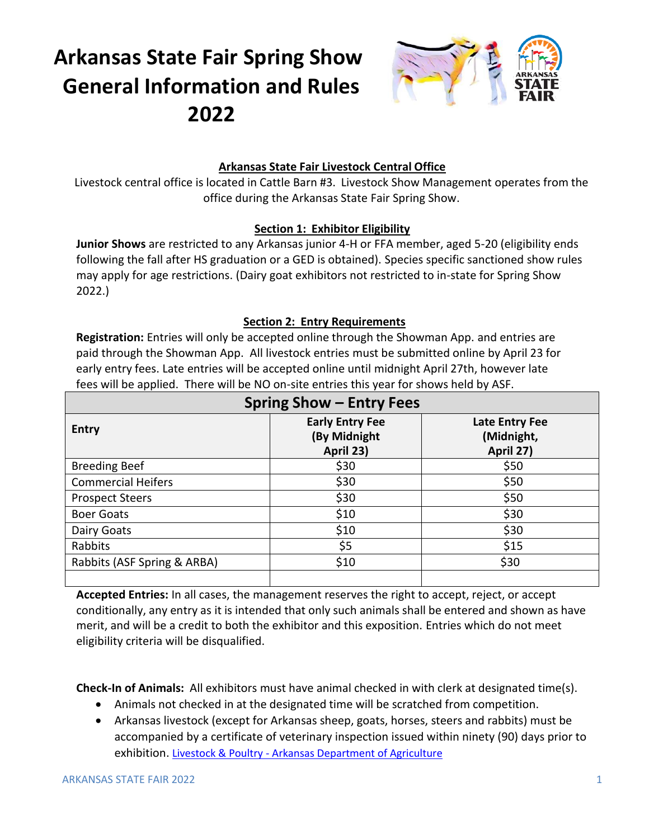# **Arkansas State Fair Spring Show General Information and Rules 2022**



## **Arkansas State Fair Livestock Central Office**

Livestock central office is located in Cattle Barn #3. Livestock Show Management operates from the office during the Arkansas State Fair Spring Show.

## **Section 1: Exhibitor Eligibility**

**Junior Shows** are restricted to any Arkansas junior 4-H or FFA member, aged 5-20 (eligibility ends following the fall after HS graduation or a GED is obtained). Species specific sanctioned show rules may apply for age restrictions. (Dairy goat exhibitors not restricted to in-state for Spring Show 2022.)

## **Section 2: Entry Requirements**

**Registration:** Entries will only be accepted online through the Showman App. and entries are paid through the Showman App. All livestock entries must be submitted online by April 23 for early entry fees. Late entries will be accepted online until midnight April 27th, however late fees will be applied. There will be NO on-site entries this year for shows held by ASF.

| <b>Spring Show - Entry Fees</b> |                                                     |                                           |  |
|---------------------------------|-----------------------------------------------------|-------------------------------------------|--|
| <b>Entry</b>                    | <b>Early Entry Fee</b><br>(By Midnight<br>April 23) | Late Entry Fee<br>(Midnight,<br>April 27) |  |
| <b>Breeding Beef</b>            | \$30                                                | \$50                                      |  |
| <b>Commercial Heifers</b>       | \$30                                                | \$50                                      |  |
| <b>Prospect Steers</b>          | \$30                                                | \$50                                      |  |
| <b>Boer Goats</b>               | \$10                                                | \$30                                      |  |
| Dairy Goats                     | \$10                                                | \$30                                      |  |
| Rabbits                         | \$5                                                 | \$15                                      |  |
| Rabbits (ASF Spring & ARBA)     | \$10                                                | \$30                                      |  |
|                                 |                                                     |                                           |  |

**Accepted Entries:** In all cases, the management reserves the right to accept, reject, or accept conditionally, any entry as it is intended that only such animals shall be entered and shown as have merit, and will be a credit to both the exhibitor and this exposition. Entries which do not meet eligibility criteria will be disqualified.

**Check-In of Animals:** All exhibitors must have animal checked in with clerk at designated time(s).

- Animals not checked in at the designated time will be scratched from competition.
- Arkansas livestock (except for Arkansas sheep, goats, horses, steers and rabbits) must be accompanied by a certificate of veterinary inspection issued within ninety (90) days prior to exhibition. Livestock & Poultry - [Arkansas Department of Agriculture](https://www.agriculture.arkansas.gov/livestock-poultry/)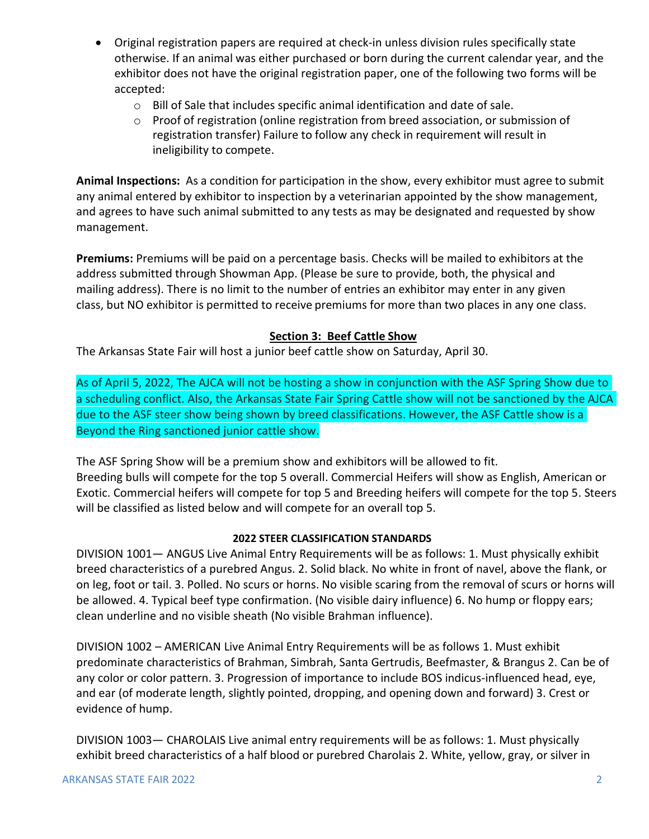- Original registration papers are required at check-in unless division rules specifically state otherwise. If an animal was either purchased or born during the current calendar year, and the exhibitor does not have the original registration paper, one of the following two forms will be accepted:
	- o Bill of Sale that includes specific animal identification and date of sale.
	- $\circ$  Proof of registration (online registration from breed association, or submission of registration transfer) Failure to follow any check in requirement will result in ineligibility to compete.

**Animal Inspections:** As a condition for participation in the show, every exhibitor must agree to submit any animal entered by exhibitor to inspection by a veterinarian appointed by the show management, and agrees to have such animal submitted to any tests as may be designated and requested by show management.

**Premiums:** Premiums will be paid on a percentage basis. Checks will be mailed to exhibitors at the address submitted through Showman App. (Please be sure to provide, both, the physical and mailing address). There is no limit to the number of entries an exhibitor may enter in any given class, but NO exhibitor is permitted to receive premiums for more than two places in any one class.

## **Section 3: Beef Cattle Show**

The Arkansas State Fair will host a junior beef cattle show on Saturday, April 30.

As of April 5, 2022, The AJCA will not be hosting a show in conjunction with the ASF Spring Show due to a scheduling conflict. Also, the Arkansas State Fair Spring Cattle show will not be sanctioned by the AJCA due to the ASF steer show being shown by breed classifications. However, the ASF Cattle show is a Beyond the Ring sanctioned junior cattle show.

The ASF Spring Show will be a premium show and exhibitors will be allowed to fit. Breeding bulls will compete for the top 5 overall. Commercial Heifers will show as English, American or Exotic. Commercial heifers will compete for top 5 and Breeding heifers will compete for the top 5. Steers will be classified as listed below and will compete for an overall top 5.

## **2022 STEER CLASSIFICATION STANDARDS**

DIVISION 1001— ANGUS Live Animal Entry Requirements will be as follows: 1. Must physically exhibit breed characteristics of a purebred Angus. 2. Solid black. No white in front of navel, above the flank, or on leg, foot or tail. 3. Polled. No scurs or horns. No visible scaring from the removal of scurs or horns will be allowed. 4. Typical beef type confirmation. (No visible dairy influence) 6. No hump or floppy ears; clean underline and no visible sheath (No visible Brahman influence).

DIVISION 1002 – AMERICAN Live Animal Entry Requirements will be as follows 1. Must exhibit predominate characteristics of Brahman, Simbrah, Santa Gertrudis, Beefmaster, & Brangus 2. Can be of any color or color pattern. 3. Progression of importance to include BOS indicus-influenced head, eye, and ear (of moderate length, slightly pointed, dropping, and opening down and forward) 3. Crest or evidence of hump.

DIVISION 1003— CHAROLAIS Live animal entry requirements will be as follows: 1. Must physically exhibit breed characteristics of a half blood or purebred Charolais 2. White, yellow, gray, or silver in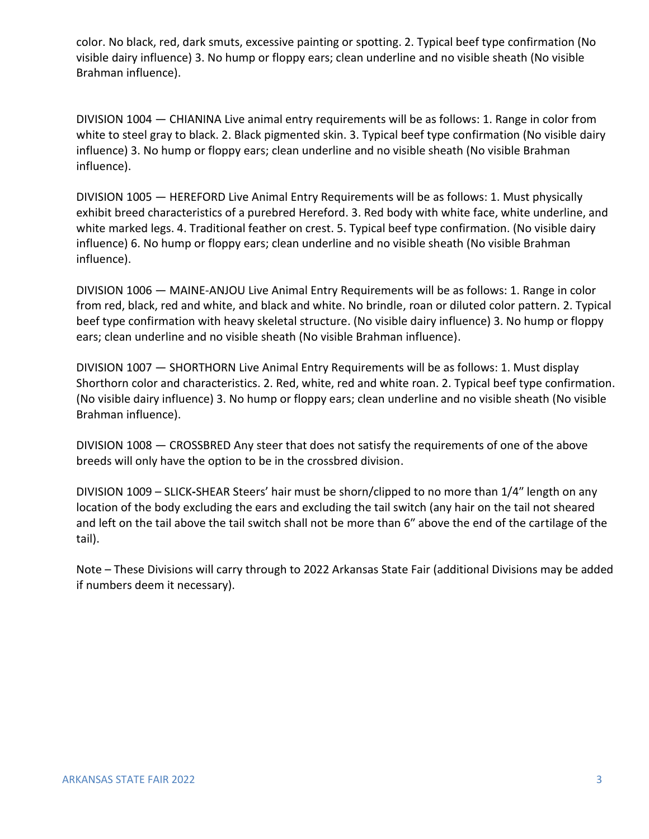color. No black, red, dark smuts, excessive painting or spotting. 2. Typical beef type confirmation (No visible dairy influence) 3. No hump or floppy ears; clean underline and no visible sheath (No visible Brahman influence).

DIVISION 1004 — CHIANINA Live animal entry requirements will be as follows: 1. Range in color from white to steel gray to black. 2. Black pigmented skin. 3. Typical beef type confirmation (No visible dairy influence) 3. No hump or floppy ears; clean underline and no visible sheath (No visible Brahman influence).

DIVISION 1005 — HEREFORD Live Animal Entry Requirements will be as follows: 1. Must physically exhibit breed characteristics of a purebred Hereford. 3. Red body with white face, white underline, and white marked legs. 4. Traditional feather on crest. 5. Typical beef type confirmation. (No visible dairy influence) 6. No hump or floppy ears; clean underline and no visible sheath (No visible Brahman influence).

DIVISION 1006 — MAINE-ANJOU Live Animal Entry Requirements will be as follows: 1. Range in color from red, black, red and white, and black and white. No brindle, roan or diluted color pattern. 2. Typical beef type confirmation with heavy skeletal structure. (No visible dairy influence) 3. No hump or floppy ears; clean underline and no visible sheath (No visible Brahman influence).

DIVISION 1007 — SHORTHORN Live Animal Entry Requirements will be as follows: 1. Must display Shorthorn color and characteristics. 2. Red, white, red and white roan. 2. Typical beef type confirmation. (No visible dairy influence) 3. No hump or floppy ears; clean underline and no visible sheath (No visible Brahman influence).

DIVISION 1008 — CROSSBRED Any steer that does not satisfy the requirements of one of the above breeds will only have the option to be in the crossbred division.

DIVISION 1009 – SLICK**-**SHEAR Steers' hair must be shorn/clipped to no more than 1/4″ length on any location of the body excluding the ears and excluding the tail switch (any hair on the tail not sheared and left on the tail above the tail switch shall not be more than 6″ above the end of the cartilage of the tail).

Note – These Divisions will carry through to 2022 Arkansas State Fair (additional Divisions may be added if numbers deem it necessary).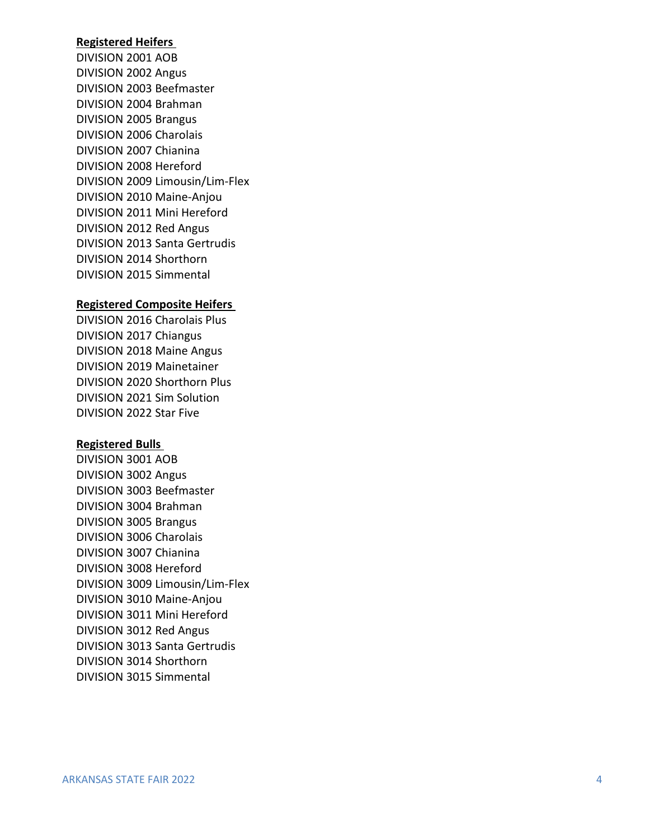#### **Registered Heifers**

DIVISION 2 0 0 1 AOB DIVISION 20 02 Angus DIVISION 20 03 Beefmaster DIVISION 2 004 Brahman DIVISION 2 005 Brangus DIVISION 20 06 Charolais DIVISION 20 07 Chianina DIVISION 20 08 Hereford DIVISION 20 09 Limousin/Lim -Flex DIVISION 2010 Maine -Anjou DIVISION 2011 Mini Hereford DIVISION 2012 Red Angus DIVISION 2013 Santa Gertrudis DIVISION 2014 Shorthorn DIVISION 2015 Simmental

#### **Registered Composite Heifers**

DIVISION 2016 Charolais Plus DIVISION 2017 Chiangus DIVISION 2018 Maine Angus DIVISION 2019 Mainetainer DIVISION 2020 Shorthorn Plus DIVISION 2021 Sim Solution DIVISION 2022 Star Five

#### **Registered Bulls**

DIVISION 3 0 0 1 AOB DIVISION 30 02 Angus DIVISION 30 03 Beefmaster DIVISION 30 04 Brahman DIVISION 30 05 Brangus DIVISION 30 06 Charolais DIVISION 3 007 Chianina DIVISION 30 08 Hereford DIVISION 30 09 Limousin/Lim -Flex DIVISION 3010 Maine -Anjou DIVISION 3011 Mini Hereford DIVISION 3012 Red Angus DIVISION 3013 Santa Gertrudis DIVISION 3014 Shorthorn DIVISION 3015 Simmental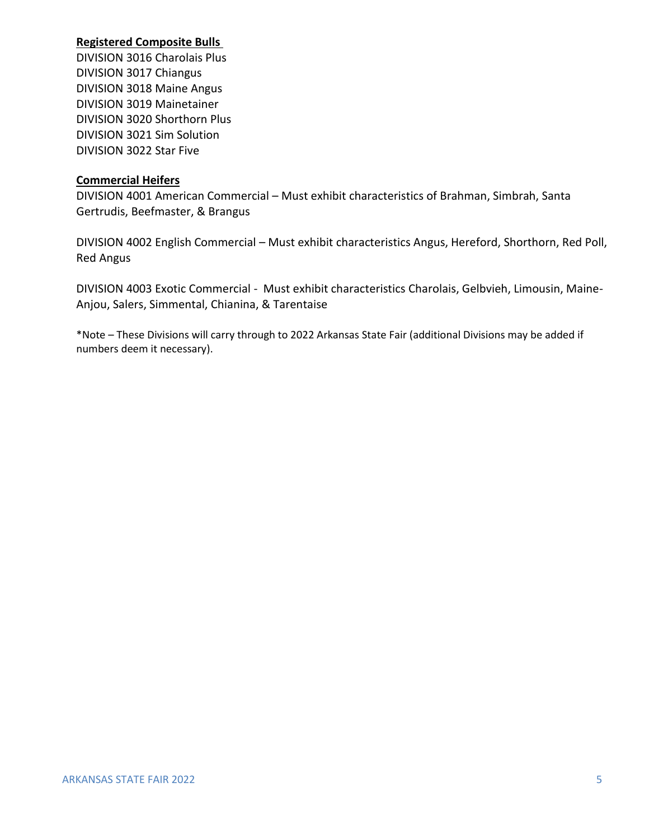#### **Registered Composite Bulls**

DIVISION 3016 Charolais Plus DIVISION 3017 Chiangus DIVISION 3018 Maine Angus DIVISION 3019 Mainetainer DIVISION 3020 Shorthorn Plus DIVISION 3021 Sim Solution DIVISION 3022 Star Five

#### **Commercial Heifers**

DIVISION 4001 American Commercial – Must exhibit characteristics of Brahman, Simbrah, Santa Gertrudis, Beefmaster, & Brangus

DIVISION 4002 English Commercial – Must exhibit characteristics Angus, Hereford, Shorthorn, Red Poll, Red Angus

DIVISION 4003 Exotic Commercial - Must exhibit characteristics Charolais, Gelbvieh, Limousin, Maine-Anjou, Salers, Simmental, Chianina, & Tarentaise

\*Note – These Divisions will carry through to 2022 Arkansas State Fair (additional Divisions may be added if numbers deem it necessary).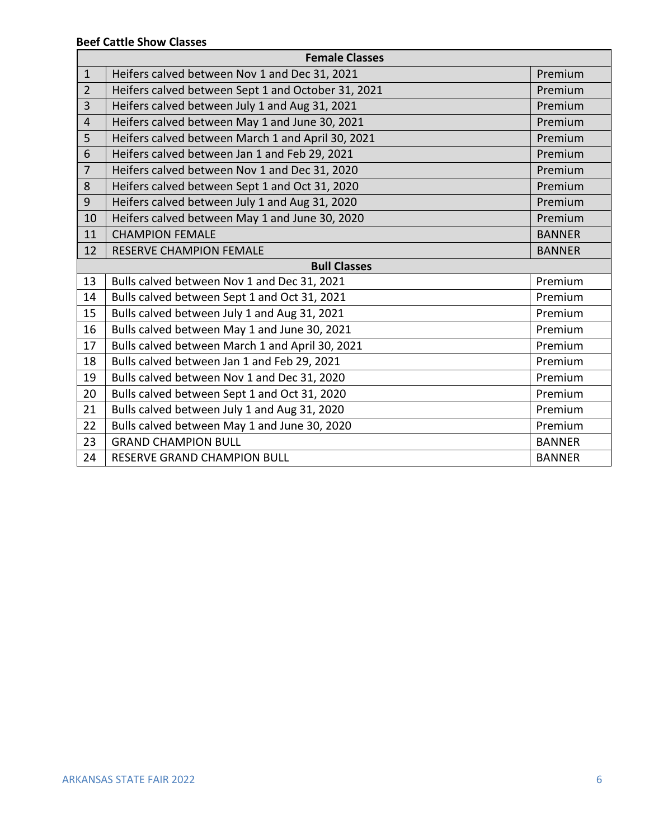| <b>Female Classes</b> |                                                    |               |
|-----------------------|----------------------------------------------------|---------------|
| $\mathbf{1}$          | Heifers calved between Nov 1 and Dec 31, 2021      | Premium       |
| $\overline{2}$        | Heifers calved between Sept 1 and October 31, 2021 | Premium       |
| $\overline{3}$        | Heifers calved between July 1 and Aug 31, 2021     | Premium       |
| $\overline{4}$        | Heifers calved between May 1 and June 30, 2021     | Premium       |
| 5                     | Heifers calved between March 1 and April 30, 2021  | Premium       |
| 6                     | Heifers calved between Jan 1 and Feb 29, 2021      | Premium       |
| $\overline{7}$        | Heifers calved between Nov 1 and Dec 31, 2020      | Premium       |
| 8                     | Heifers calved between Sept 1 and Oct 31, 2020     | Premium       |
| 9                     | Heifers calved between July 1 and Aug 31, 2020     | Premium       |
| 10                    | Heifers calved between May 1 and June 30, 2020     | Premium       |
| 11                    | <b>CHAMPION FEMALE</b>                             | <b>BANNER</b> |
| 12                    | <b>RESERVE CHAMPION FEMALE</b>                     | <b>BANNER</b> |
| <b>Bull Classes</b>   |                                                    |               |
| 13                    | Bulls calved between Nov 1 and Dec 31, 2021        | Premium       |
| 14                    | Bulls calved between Sept 1 and Oct 31, 2021       | Premium       |
| 15                    |                                                    |               |
|                       | Bulls calved between July 1 and Aug 31, 2021       | Premium       |
| 16                    | Bulls calved between May 1 and June 30, 2021       | Premium       |
| 17                    | Bulls calved between March 1 and April 30, 2021    | Premium       |
| 18                    | Bulls calved between Jan 1 and Feb 29, 2021        | Premium       |
| 19                    | Bulls calved between Nov 1 and Dec 31, 2020        | Premium       |
| 20                    | Bulls calved between Sept 1 and Oct 31, 2020       | Premium       |
| 21                    | Bulls calved between July 1 and Aug 31, 2020       | Premium       |
| 22                    | Bulls calved between May 1 and June 30, 2020       | Premium       |
| 23                    | <b>GRAND CHAMPION BULL</b>                         | <b>BANNER</b> |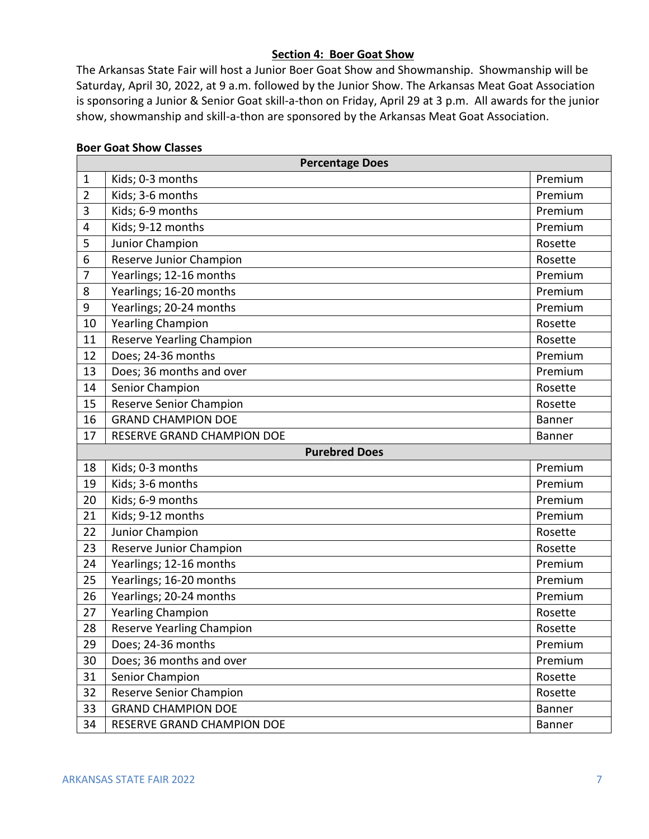#### **Section 4: Boer Goat Show**

The Arkansas State Fair will host a Junior Boer Goat Show and Showmanship. Showmanship will be Saturday, April 30, 2022, at 9 a.m. followed by the Junior Show. The Arkansas Meat Goat Association is sponsoring a Junior & Senior Goat skill-a-thon on Friday, April 29 at 3 p.m. All awards for the junior show, showmanship and skill-a-thon are sponsored by the Arkansas Meat Goat Association.

#### **Boer Goat Show Classes**

|                      | <b>Percentage Does</b>         |               |
|----------------------|--------------------------------|---------------|
| $\mathbf{1}$         | Kids; 0-3 months               | Premium       |
| $\overline{2}$       | Kids; 3-6 months               | Premium       |
| 3                    | Kids; 6-9 months               | Premium       |
| $\overline{4}$       | Kids; 9-12 months              | Premium       |
| 5                    | Junior Champion                | Rosette       |
| 6                    | Reserve Junior Champion        | Rosette       |
| $\overline{7}$       | Yearlings; 12-16 months        | Premium       |
| 8                    | Yearlings; 16-20 months        | Premium       |
| 9                    | Yearlings; 20-24 months        | Premium       |
| 10                   | <b>Yearling Champion</b>       | Rosette       |
| 11                   | Reserve Yearling Champion      | Rosette       |
| 12                   | Does; 24-36 months             | Premium       |
| 13                   | Does; 36 months and over       | Premium       |
| 14                   | Senior Champion                | Rosette       |
| 15                   | <b>Reserve Senior Champion</b> | Rosette       |
| 16                   | <b>GRAND CHAMPION DOE</b>      | <b>Banner</b> |
| 17                   | RESERVE GRAND CHAMPION DOE     | Banner        |
| <b>Purebred Does</b> |                                |               |
|                      |                                |               |
| 18                   | Kids; 0-3 months               | Premium       |
| 19                   | Kids; 3-6 months               | Premium       |
| 20                   | Kids; 6-9 months               | Premium       |
| 21                   | Kids; 9-12 months              | Premium       |
| 22                   | Junior Champion                | Rosette       |
| 23                   | Reserve Junior Champion        | Rosette       |
| 24                   | Yearlings; 12-16 months        | Premium       |
| 25                   | Yearlings; 16-20 months        | Premium       |
| 26                   | Yearlings; 20-24 months        | Premium       |
| 27                   | <b>Yearling Champion</b>       | Rosette       |
| 28                   | Reserve Yearling Champion      | Rosette       |
| 29                   | Does; 24-36 months             | Premium       |
| 30                   | Does; 36 months and over       | Premium       |
| 31                   | Senior Champion                | Rosette       |
| 32                   | Reserve Senior Champion        | Rosette       |
| 33                   | <b>GRAND CHAMPION DOE</b>      | Banner        |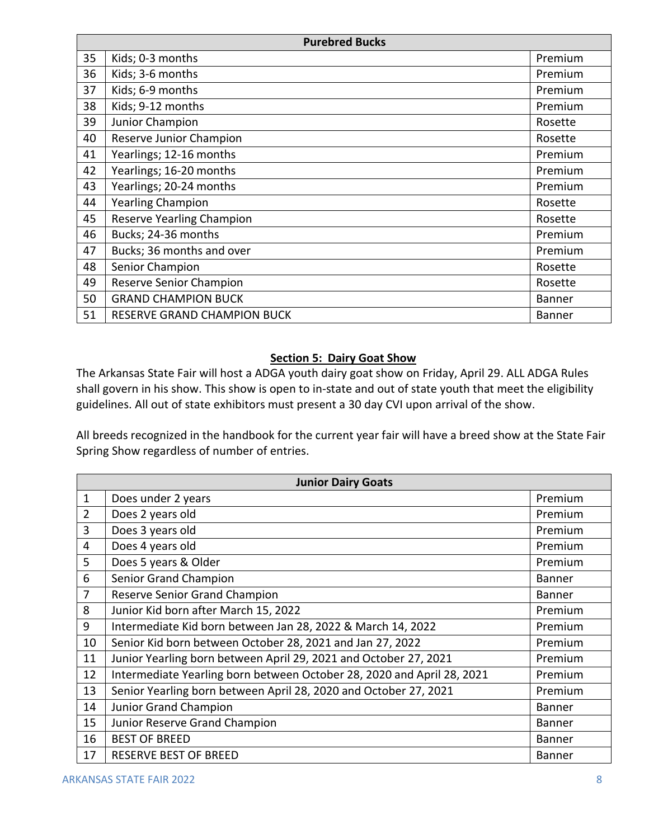| <b>Purebred Bucks</b> |                                    |               |
|-----------------------|------------------------------------|---------------|
| 35                    | Kids; 0-3 months                   | Premium       |
| 36                    | Kids; 3-6 months                   | Premium       |
| 37                    | Kids; 6-9 months                   | Premium       |
| 38                    | Kids; 9-12 months                  | Premium       |
| 39                    | Junior Champion                    | Rosette       |
| 40                    | Reserve Junior Champion            | Rosette       |
| 41                    | Yearlings; 12-16 months            | Premium       |
| 42                    | Yearlings; 16-20 months            | Premium       |
| 43                    | Yearlings; 20-24 months            | Premium       |
| 44                    | <b>Yearling Champion</b>           | Rosette       |
| 45                    | <b>Reserve Yearling Champion</b>   | Rosette       |
| 46                    | Bucks; 24-36 months                | Premium       |
| 47                    | Bucks; 36 months and over          | Premium       |
| 48                    | Senior Champion                    | Rosette       |
| 49                    | <b>Reserve Senior Champion</b>     | Rosette       |
| 50                    | <b>GRAND CHAMPION BUCK</b>         | <b>Banner</b> |
| 51                    | <b>RESERVE GRAND CHAMPION BUCK</b> | <b>Banner</b> |

## **Section 5: Dairy Goat Show**

The Arkansas State Fair will host a ADGA youth dairy goat show on Friday, April 29. ALL ADGA Rules shall govern in his show. This show is open to in-state and out of state youth that meet the eligibility guidelines. All out of state exhibitors must present a 30 day CVI upon arrival of the show.

All breeds recognized in the handbook for the current year fair will have a breed show at the State Fair Spring Show regardless of number of entries.

| <b>Junior Dairy Goats</b> |                                                                        |               |
|---------------------------|------------------------------------------------------------------------|---------------|
| $\mathbf{1}$              | Does under 2 years                                                     | Premium       |
| $\overline{2}$            | Does 2 years old                                                       | Premium       |
| 3                         | Does 3 years old                                                       | Premium       |
| $\overline{4}$            | Does 4 years old                                                       | Premium       |
| 5                         | Does 5 years & Older                                                   | Premium       |
| 6                         | Senior Grand Champion                                                  | <b>Banner</b> |
| $\overline{7}$            | Reserve Senior Grand Champion                                          | <b>Banner</b> |
| 8                         | Junior Kid born after March 15, 2022                                   | Premium       |
| 9                         | Intermediate Kid born between Jan 28, 2022 & March 14, 2022            | Premium       |
| 10                        | Senior Kid born between October 28, 2021 and Jan 27, 2022              | Premium       |
| 11                        | Junior Yearling born between April 29, 2021 and October 27, 2021       | Premium       |
| 12                        | Intermediate Yearling born between October 28, 2020 and April 28, 2021 | Premium       |
| 13                        | Senior Yearling born between April 28, 2020 and October 27, 2021       | Premium       |
| 14                        | <b>Junior Grand Champion</b>                                           | <b>Banner</b> |
| 15                        | Junior Reserve Grand Champion                                          | <b>Banner</b> |
| 16                        | <b>BEST OF BREED</b>                                                   | <b>Banner</b> |
| 17                        | <b>RESERVE BEST OF BREED</b>                                           | <b>Banner</b> |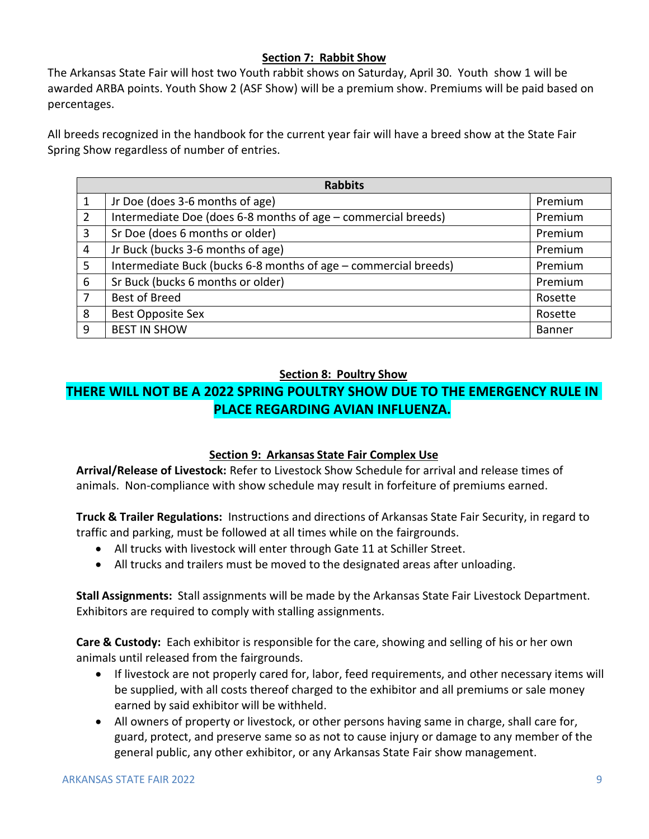## **Section 7: Rabbit Show**

The Arkansas State Fair will host two Youth rabbit shows on Saturday, April 30. Youth show 1 will be awarded ARBA points. Youth Show 2 (ASF Show) will be a premium show. Premiums will be paid based on percentages.

All breeds recognized in the handbook for the current year fair will have a breed show at the State Fair Spring Show regardless of number of entries.

| <b>Rabbits</b> |                                                                 |               |
|----------------|-----------------------------------------------------------------|---------------|
| 1              | Jr Doe (does 3-6 months of age)                                 | Premium       |
| 2              | Intermediate Doe (does 6-8 months of age - commercial breeds)   | Premium       |
| 3              | Sr Doe (does 6 months or older)                                 | Premium       |
| 4              | Jr Buck (bucks 3-6 months of age)                               | Premium       |
| 5              | Intermediate Buck (bucks 6-8 months of age - commercial breeds) | Premium       |
| 6              | Sr Buck (bucks 6 months or older)                               | Premium       |
| 7              | Best of Breed                                                   | Rosette       |
| 8              | <b>Best Opposite Sex</b>                                        | Rosette       |
| 9              | <b>BEST IN SHOW</b>                                             | <b>Banner</b> |

## **Section 8: Poultry Show**

## **THERE WILL NOT BE A 2022 SPRING POULTRY SHOW DUE TO THE EMERGENCY RULE IN PLACE REGARDING AVIAN INFLUENZA.**

## **Section 9: Arkansas State Fair Complex Use**

**Arrival/Release of Livestock:** Refer to Livestock Show Schedule for arrival and release times of animals. Non-compliance with show schedule may result in forfeiture of premiums earned.

**Truck & Trailer Regulations:** Instructions and directions of Arkansas State Fair Security, in regard to traffic and parking, must be followed at all times while on the fairgrounds.

- All trucks with livestock will enter through Gate 11 at Schiller Street.
- All trucks and trailers must be moved to the designated areas after unloading.

**Stall Assignments:** Stall assignments will be made by the Arkansas State Fair Livestock Department. Exhibitors are required to comply with stalling assignments.

**Care & Custody:** Each exhibitor is responsible for the care, showing and selling of his or her own animals until released from the fairgrounds.

- If livestock are not properly cared for, labor, feed requirements, and other necessary items will be supplied, with all costs thereof charged to the exhibitor and all premiums or sale money earned by said exhibitor will be withheld.
- All owners of property or livestock, or other persons having same in charge, shall care for, guard, protect, and preserve same so as not to cause injury or damage to any member of the general public, any other exhibitor, or any Arkansas State Fair show management.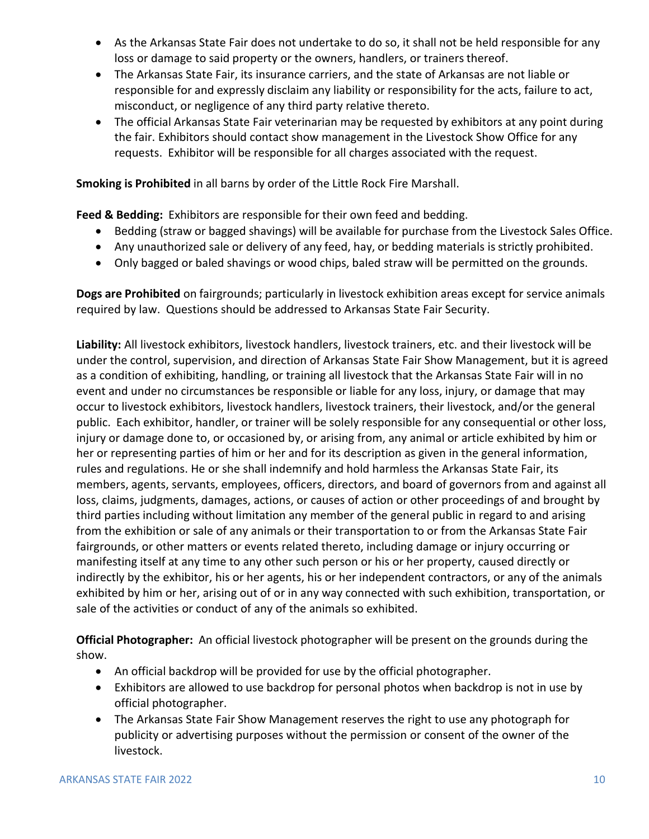- As the Arkansas State Fair does not undertake to do so, it shall not be held responsible for any loss or damage to said property or the owners, handlers, or trainers thereof.
- The Arkansas State Fair, its insurance carriers, and the state of Arkansas are not liable or responsible for and expressly disclaim any liability or responsibility for the acts, failure to act, misconduct, or negligence of any third party relative thereto.
- The official Arkansas State Fair veterinarian may be requested by exhibitors at any point during the fair. Exhibitors should contact show management in the Livestock Show Office for any requests. Exhibitor will be responsible for all charges associated with the request.

**Smoking is Prohibited** in all barns by order of the Little Rock Fire Marshall.

**Feed & Bedding:** Exhibitors are responsible for their own feed and bedding.

- Bedding (straw or bagged shavings) will be available for purchase from the Livestock Sales Office.
- Any unauthorized sale or delivery of any feed, hay, or bedding materials is strictly prohibited.
- Only bagged or baled shavings or wood chips, baled straw will be permitted on the grounds.

**Dogs are Prohibited** on fairgrounds; particularly in livestock exhibition areas except for service animals required by law. Questions should be addressed to Arkansas State Fair Security.

**Liability:** All livestock exhibitors, livestock handlers, livestock trainers, etc. and their livestock will be under the control, supervision, and direction of Arkansas State Fair Show Management, but it is agreed as a condition of exhibiting, handling, or training all livestock that the Arkansas State Fair will in no event and under no circumstances be responsible or liable for any loss, injury, or damage that may occur to livestock exhibitors, livestock handlers, livestock trainers, their livestock, and/or the general public. Each exhibitor, handler, or trainer will be solely responsible for any consequential or other loss, injury or damage done to, or occasioned by, or arising from, any animal or article exhibited by him or her or representing parties of him or her and for its description as given in the general information, rules and regulations. He or she shall indemnify and hold harmless the Arkansas State Fair, its members, agents, servants, employees, officers, directors, and board of governors from and against all loss, claims, judgments, damages, actions, or causes of action or other proceedings of and brought by third parties including without limitation any member of the general public in regard to and arising from the exhibition or sale of any animals or their transportation to or from the Arkansas State Fair fairgrounds, or other matters or events related thereto, including damage or injury occurring or manifesting itself at any time to any other such person or his or her property, caused directly or indirectly by the exhibitor, his or her agents, his or her independent contractors, or any of the animals exhibited by him or her, arising out of or in any way connected with such exhibition, transportation, or sale of the activities or conduct of any of the animals so exhibited.

**Official Photographer:** An official livestock photographer will be present on the grounds during the show.

- An official backdrop will be provided for use by the official photographer.
- Exhibitors are allowed to use backdrop for personal photos when backdrop is not in use by official photographer.
- The Arkansas State Fair Show Management reserves the right to use any photograph for publicity or advertising purposes without the permission or consent of the owner of the livestock.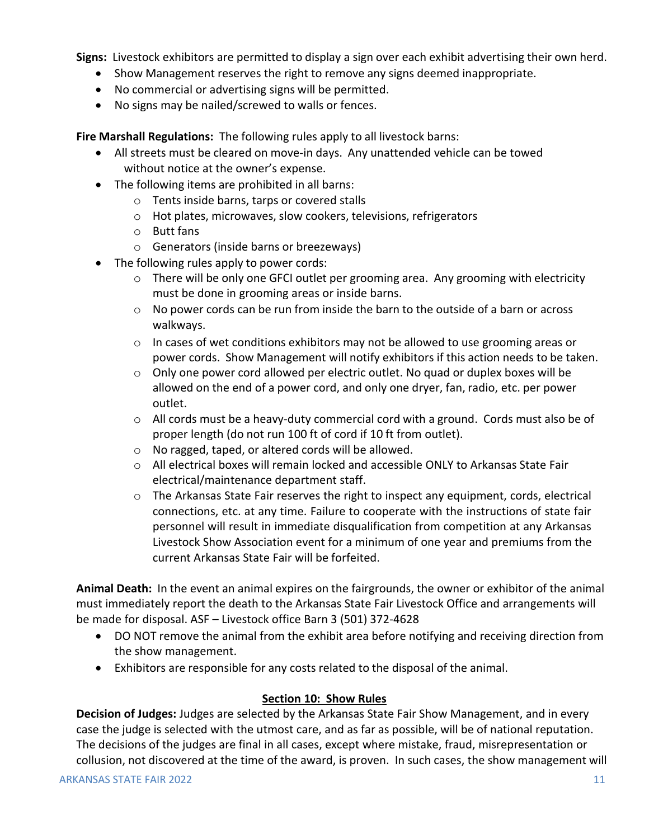**Signs:** Livestock exhibitors are permitted to display a sign over each exhibit advertising their own herd.

- Show Management reserves the right to remove any signs deemed inappropriate.
- No commercial or advertising signs will be permitted.
- No signs may be nailed/screwed to walls or fences.

**Fire Marshall Regulations:** The following rules apply to all livestock barns:

- All streets must be cleared on move-in days. Any unattended vehicle can be towed without notice at the owner's expense.
- The following items are prohibited in all barns:
	- o Tents inside barns, tarps or covered stalls
	- o Hot plates, microwaves, slow cookers, televisions, refrigerators
	- o Butt fans
	- o Generators (inside barns or breezeways)
- The following rules apply to power cords:
	- o There will be only one GFCI outlet per grooming area. Any grooming with electricity must be done in grooming areas or inside barns.
	- o No power cords can be run from inside the barn to the outside of a barn or across walkways.
	- $\circ$  In cases of wet conditions exhibitors may not be allowed to use grooming areas or power cords. Show Management will notify exhibitors if this action needs to be taken.
	- o Only one power cord allowed per electric outlet. No quad or duplex boxes will be allowed on the end of a power cord, and only one dryer, fan, radio, etc. per power outlet.
	- o All cords must be a heavy-duty commercial cord with a ground. Cords must also be of proper length (do not run 100 ft of cord if 10 ft from outlet).
	- o No ragged, taped, or altered cords will be allowed.
	- $\circ$  All electrical boxes will remain locked and accessible ONLY to Arkansas State Fair electrical/maintenance department staff.
	- $\circ$  The Arkansas State Fair reserves the right to inspect any equipment, cords, electrical connections, etc. at any time. Failure to cooperate with the instructions of state fair personnel will result in immediate disqualification from competition at any Arkansas Livestock Show Association event for a minimum of one year and premiums from the current Arkansas State Fair will be forfeited.

**Animal Death:** In the event an animal expires on the fairgrounds, the owner or exhibitor of the animal must immediately report the death to the Arkansas State Fair Livestock Office and arrangements will be made for disposal. ASF – Livestock office Barn 3 (501) 372-4628

- DO NOT remove the animal from the exhibit area before notifying and receiving direction from the show management.
- Exhibitors are responsible for any costs related to the disposal of the animal.

## **Section 10: Show Rules**

**Decision of Judges:** Judges are selected by the Arkansas State Fair Show Management, and in every case the judge is selected with the utmost care, and as far as possible, will be of national reputation. The decisions of the judges are final in all cases, except where mistake, fraud, misrepresentation or collusion, not discovered at the time of the award, is proven. In such cases, the show management will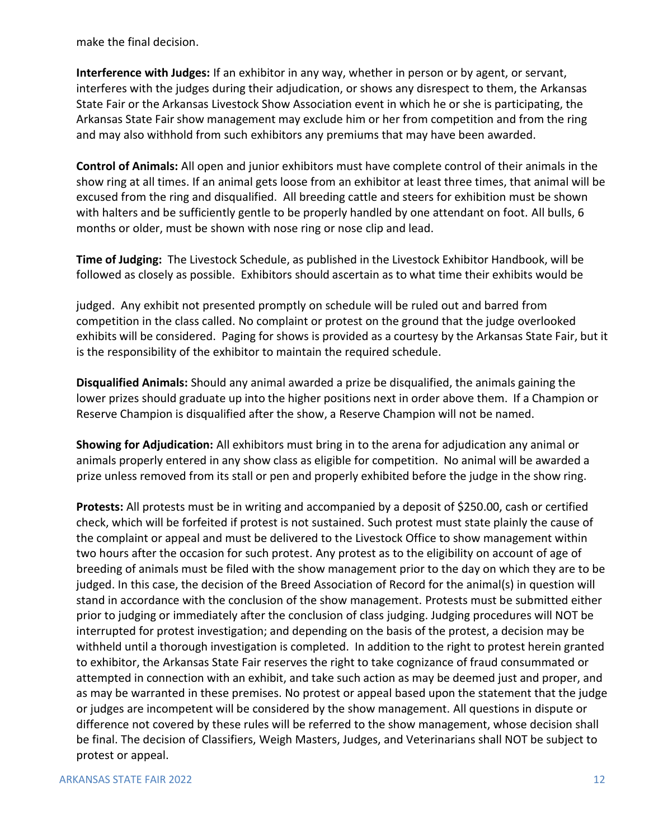make the final decision.

**Interference with Judges:** If an exhibitor in any way, whether in person or by agent, or servant, interferes with the judges during their adjudication, or shows any disrespect to them, the Arkansas State Fair or the Arkansas Livestock Show Association event in which he or she is participating, the Arkansas State Fair show management may exclude him or her from competition and from the ring and may also withhold from such exhibitors any premiums that may have been awarded.

**Control of Animals:** All open and junior exhibitors must have complete control of their animals in the show ring at all times. If an animal gets loose from an exhibitor at least three times, that animal will be excused from the ring and disqualified. All breeding cattle and steers for exhibition must be shown with halters and be sufficiently gentle to be properly handled by one attendant on foot. All bulls, 6 months or older, must be shown with nose ring or nose clip and lead.

**Time of Judging:** The Livestock Schedule, as published in the Livestock Exhibitor Handbook, will be followed as closely as possible. Exhibitors should ascertain as to what time their exhibits would be

judged. Any exhibit not presented promptly on schedule will be ruled out and barred from competition in the class called. No complaint or protest on the ground that the judge overlooked exhibits will be considered. Paging for shows is provided as a courtesy by the Arkansas State Fair, but it is the responsibility of the exhibitor to maintain the required schedule.

**Disqualified Animals:** Should any animal awarded a prize be disqualified, the animals gaining the lower prizes should graduate up into the higher positions next in order above them. If a Champion or Reserve Champion is disqualified after the show, a Reserve Champion will not be named.

**Showing for Adjudication:** All exhibitors must bring in to the arena for adjudication any animal or animals properly entered in any show class as eligible for competition. No animal will be awarded a prize unless removed from its stall or pen and properly exhibited before the judge in the show ring.

**Protests:** All protests must be in writing and accompanied by a deposit of \$250.00, cash or certified check, which will be forfeited if protest is not sustained. Such protest must state plainly the cause of the complaint or appeal and must be delivered to the Livestock Office to show management within two hours after the occasion for such protest. Any protest as to the eligibility on account of age of breeding of animals must be filed with the show management prior to the day on which they are to be judged. In this case, the decision of the Breed Association of Record for the animal(s) in question will stand in accordance with the conclusion of the show management. Protests must be submitted either prior to judging or immediately after the conclusion of class judging. Judging procedures will NOT be interrupted for protest investigation; and depending on the basis of the protest, a decision may be withheld until a thorough investigation is completed. In addition to the right to protest herein granted to exhibitor, the Arkansas State Fair reserves the right to take cognizance of fraud consummated or attempted in connection with an exhibit, and take such action as may be deemed just and proper, and as may be warranted in these premises. No protest or appeal based upon the statement that the judge or judges are incompetent will be considered by the show management. All questions in dispute or difference not covered by these rules will be referred to the show management, whose decision shall be final. The decision of Classifiers, Weigh Masters, Judges, and Veterinarians shall NOT be subject to protest or appeal.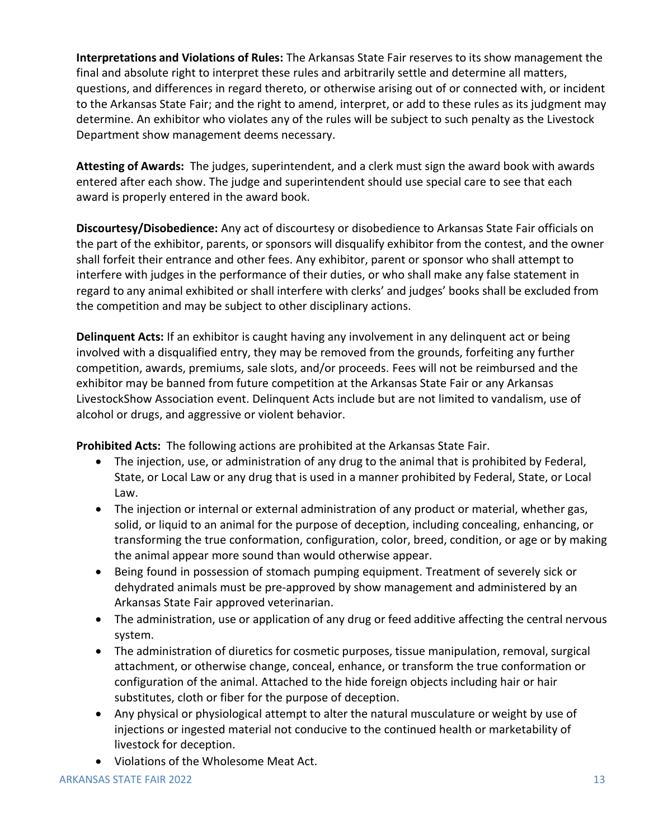**Interpretations and Violations of Rules:** The Arkansas State Fair reserves to its show management the final and absolute right to interpret these rules and arbitrarily settle and determine all matters, questions, and differences in regard thereto, or otherwise arising out of or connected with, or incident to the Arkansas State Fair; and the right to amend, interpret, or add to these rules as its judgment may determine. An exhibitor who violates any of the rules will be subject to such penalty as the Livestock Department show management deems necessary.

**Attesting of Awards:** The judges, superintendent, and a clerk must sign the award book with awards entered after each show. The judge and superintendent should use special care to see that each award is properly entered in the award book.

**Discourtesy/Disobedience:** Any act of discourtesy or disobedience to Arkansas State Fair officials on the part of the exhibitor, parents, or sponsors will disqualify exhibitor from the contest, and the owner shall forfeit their entrance and other fees. Any exhibitor, parent or sponsor who shall attempt to interfere with judges in the performance of their duties, or who shall make any false statement in regard to any animal exhibited or shall interfere with clerks' and judges' books shall be excluded from the competition and may be subject to other disciplinary actions.

**Delinquent Acts:** If an exhibitor is caught having any involvement in any delinquent act or being involved with a disqualified entry, they may be removed from the grounds, forfeiting any further competition, awards, premiums, sale slots, and/or proceeds. Fees will not be reimbursed and the exhibitor may be banned from future competition at the Arkansas State Fair or any Arkansas LivestockShow Association event. Delinquent Acts include but are not limited to vandalism, use of alcohol or drugs, and aggressive or violent behavior.

**Prohibited Acts:** The following actions are prohibited at the Arkansas State Fair.

- The injection, use, or administration of any drug to the animal that is prohibited by Federal, State, or Local Law or any drug that is used in a manner prohibited by Federal, State, or Local Law.
- The injection or internal or external administration of any product or material, whether gas, solid, or liquid to an animal for the purpose of deception, including concealing, enhancing, or transforming the true conformation, configuration, color, breed, condition, or age or by making the animal appear more sound than would otherwise appear.
- Being found in possession of stomach pumping equipment. Treatment of severely sick or dehydrated animals must be pre-approved by show management and administered by an Arkansas State Fair approved veterinarian.
- The administration, use or application of any drug or feed additive affecting the central nervous system.
- The administration of diuretics for cosmetic purposes, tissue manipulation, removal, surgical attachment, or otherwise change, conceal, enhance, or transform the true conformation or configuration of the animal. Attached to the hide foreign objects including hair or hair substitutes, cloth or fiber for the purpose of deception.
- Any physical or physiological attempt to alter the natural musculature or weight by use of injections or ingested material not conducive to the continued health or marketability of livestock for deception.
- Violations of the Wholesome Meat Act.

## ARKANSAS STATE FAIR 2022 **13 ARKANSAS STATE FAIR 2022** 13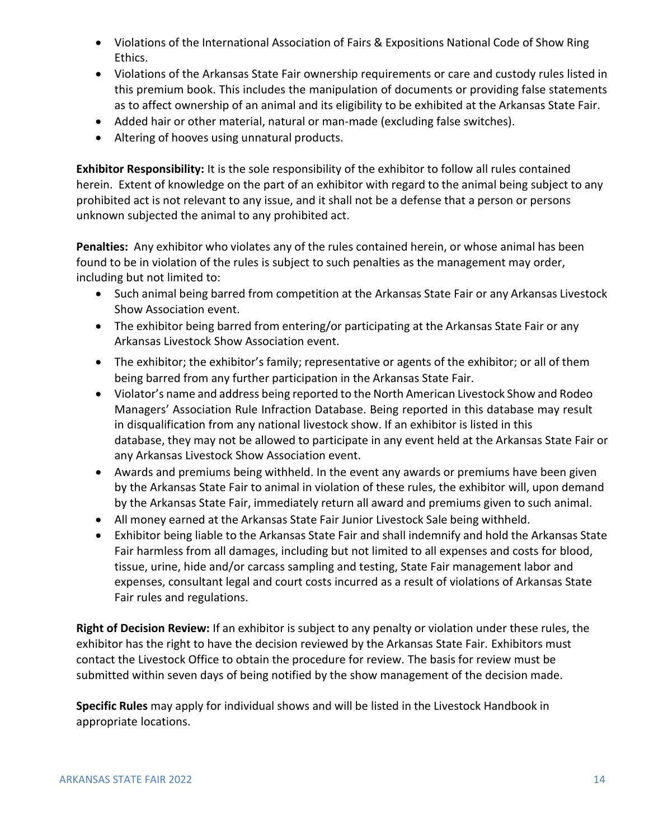- Violations of the International Association of Fairs & Expositions National Code of Show Ring Ethics.
- Violations of the Arkansas State Fair ownership requirements or care and custody rules listed in this premium book. This includes the manipulation of documents or providing false statements as to affect ownership of an animal and its eligibility to be exhibited at the Arkansas State Fair.
- Added hair or other material, natural or man-made (excluding false switches).
- Altering of hooves using unnatural products.

**Exhibitor Responsibility:** It is the sole responsibility of the exhibitor to follow all rules contained herein. Extent of knowledge on the part of an exhibitor with regard to the animal being subject to any prohibited act is not relevant to any issue, and it shall not be a defense that a person or persons unknown subjected the animal to any prohibited act.

**Penalties:** Any exhibitor who violates any of the rules contained herein, or whose animal has been found to be in violation of the rules is subject to such penalties as the management may order, including but not limited to:

- Such animal being barred from competition at the Arkansas State Fair or any Arkansas Livestock Show Association event.
- The exhibitor being barred from entering/or participating at the Arkansas State Fair or any Arkansas Livestock Show Association event.
- The exhibitor; the exhibitor's family; representative or agents of the exhibitor; or all of them being barred from any further participation in the Arkansas State Fair.
- Violator's name and address being reported to the North American Livestock Show and Rodeo Managers' Association Rule Infraction Database. Being reported in this database may result in disqualification from any national livestock show. If an exhibitor is listed in this database, they may not be allowed to participate in any event held at the Arkansas State Fair or any Arkansas Livestock Show Association event.
- Awards and premiums being withheld. In the event any awards or premiums have been given by the Arkansas State Fair to animal in violation of these rules, the exhibitor will, upon demand by the Arkansas State Fair, immediately return all award and premiums given to such animal.
- All money earned at the Arkansas State Fair Junior Livestock Sale being withheld.
- Exhibitor being liable to the Arkansas State Fair and shall indemnify and hold the Arkansas State Fair harmless from all damages, including but not limited to all expenses and costs for blood, tissue, urine, hide and/or carcass sampling and testing, State Fair management labor and expenses, consultant legal and court costs incurred as a result of violations of Arkansas State Fair rules and regulations.

**Right of Decision Review:** If an exhibitor is subject to any penalty or violation under these rules, the exhibitor has the right to have the decision reviewed by the Arkansas State Fair. Exhibitors must contact the Livestock Office to obtain the procedure for review. The basis for review must be submitted within seven days of being notified by the show management of the decision made.

**Specific Rules** may apply for individual shows and will be listed in the Livestock Handbook in appropriate locations.